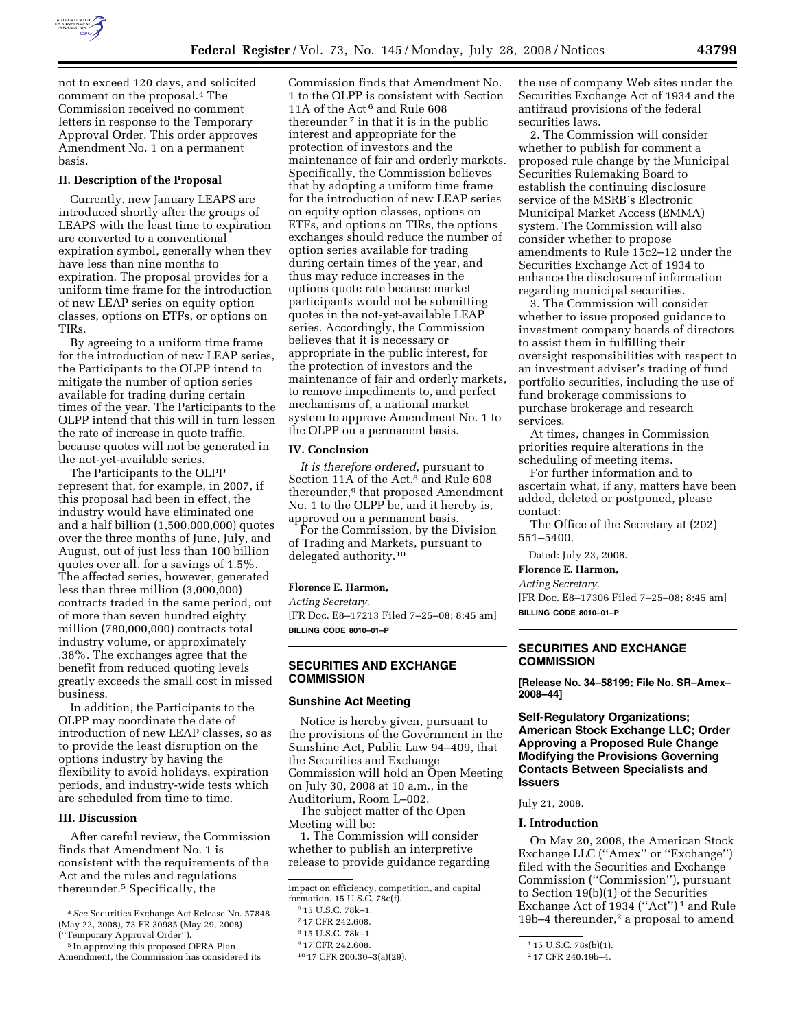

not to exceed 120 days, and solicited comment on the proposal.4 The Commission received no comment letters in response to the Temporary Approval Order. This order approves Amendment No. 1 on a permanent basis.

## **II. Description of the Proposal**

Currently, new January LEAPS are introduced shortly after the groups of LEAPS with the least time to expiration are converted to a conventional expiration symbol, generally when they have less than nine months to expiration. The proposal provides for a uniform time frame for the introduction of new LEAP series on equity option classes, options on ETFs, or options on TIRs.

By agreeing to a uniform time frame for the introduction of new LEAP series, the Participants to the OLPP intend to mitigate the number of option series available for trading during certain times of the year. The Participants to the OLPP intend that this will in turn lessen the rate of increase in quote traffic, because quotes will not be generated in the not-yet-available series.

The Participants to the OLPP represent that, for example, in 2007, if this proposal had been in effect, the industry would have eliminated one and a half billion (1,500,000,000) quotes over the three months of June, July, and August, out of just less than 100 billion quotes over all, for a savings of 1.5%. The affected series, however, generated less than three million (3,000,000) contracts traded in the same period, out of more than seven hundred eighty million (780,000,000) contracts total industry volume, or approximately .38%. The exchanges agree that the benefit from reduced quoting levels greatly exceeds the small cost in missed business.

In addition, the Participants to the OLPP may coordinate the date of introduction of new LEAP classes, so as to provide the least disruption on the options industry by having the flexibility to avoid holidays, expiration periods, and industry-wide tests which are scheduled from time to time.

# **III. Discussion**

After careful review, the Commission finds that Amendment No. 1 is consistent with the requirements of the Act and the rules and regulations thereunder.5 Specifically, the

Commission finds that Amendment No. 1 to the OLPP is consistent with Section 11A of the Act 6 and Rule 608 thereunder 7 in that it is in the public interest and appropriate for the protection of investors and the maintenance of fair and orderly markets. Specifically, the Commission believes that by adopting a uniform time frame for the introduction of new LEAP series on equity option classes, options on ETFs, and options on TIRs, the options exchanges should reduce the number of option series available for trading during certain times of the year, and thus may reduce increases in the options quote rate because market participants would not be submitting quotes in the not-yet-available LEAP series. Accordingly, the Commission believes that it is necessary or appropriate in the public interest, for the protection of investors and the maintenance of fair and orderly markets, to remove impediments to, and perfect mechanisms of, a national market system to approve Amendment No. 1 to the OLPP on a permanent basis.

#### **IV. Conclusion**

*It is therefore ordered*, pursuant to Section 11A of the Act,<sup>8</sup> and Rule 608 thereunder,9 that proposed Amendment No. 1 to the OLPP be, and it hereby is, approved on a permanent basis.

For the Commission, by the Division of Trading and Markets, pursuant to delegated authority.10

### **Florence E. Harmon,**

*Acting Secretary.* 

[FR Doc. E8–17213 Filed 7–25–08; 8:45 am] **BILLING CODE 8010–01–P** 

# **SECURITIES AND EXCHANGE COMMISSION**

#### **Sunshine Act Meeting**

Notice is hereby given, pursuant to the provisions of the Government in the Sunshine Act, Public Law 94–409, that the Securities and Exchange Commission will hold an Open Meeting on July 30, 2008 at 10 a.m., in the Auditorium, Room L–002.

The subject matter of the Open Meeting will be:

1. The Commission will consider whether to publish an interpretive release to provide guidance regarding

the use of company Web sites under the Securities Exchange Act of 1934 and the antifraud provisions of the federal securities laws.

2. The Commission will consider whether to publish for comment a proposed rule change by the Municipal Securities Rulemaking Board to establish the continuing disclosure service of the MSRB's Electronic Municipal Market Access (EMMA) system. The Commission will also consider whether to propose amendments to Rule 15c2–12 under the Securities Exchange Act of 1934 to enhance the disclosure of information regarding municipal securities.

3. The Commission will consider whether to issue proposed guidance to investment company boards of directors to assist them in fulfilling their oversight responsibilities with respect to an investment adviser's trading of fund portfolio securities, including the use of fund brokerage commissions to purchase brokerage and research services.

At times, changes in Commission priorities require alterations in the scheduling of meeting items.

For further information and to ascertain what, if any, matters have been added, deleted or postponed, please contact:

The Office of the Secretary at (202) 551–5400.

Dated: July 23, 2008.

## **Florence E. Harmon,**

*Acting Secretary.* 

[FR Doc. E8–17306 Filed 7–25–08; 8:45 am] **BILLING CODE 8010–01–P** 

# **SECURITIES AND EXCHANGE COMMISSION**

**[Release No. 34–58199; File No. SR–Amex– 2008–44]** 

# **Self-Regulatory Organizations; American Stock Exchange LLC; Order Approving a Proposed Rule Change Modifying the Provisions Governing Contacts Between Specialists and Issuers**

## July 21, 2008.

### **I. Introduction**

On May 20, 2008, the American Stock Exchange LLC (''Amex'' or ''Exchange'') filed with the Securities and Exchange Commission (''Commission''), pursuant to Section 19(b)(1) of the Securities Exchange Act of 1934 (''Act'') 1 and Rule 19b–4 thereunder,<sup>2</sup> a proposal to amend

<sup>4</sup>*See* Securities Exchange Act Release No. 57848 (May 22, 2008), 73 FR 30985 (May 29, 2008) (''Temporary Approval Order'').

<sup>5</sup> In approving this proposed OPRA Plan Amendment, the Commission has considered its

impact on efficiency, competition, and capital formation. 15 U.S.C. 78c(f).

<sup>6</sup> 15 U.S.C. 78k–1.

<sup>7</sup> 17 CFR 242.608.

<sup>8</sup> 15 U.S.C. 78k–1.

<sup>9</sup> 17 CFR 242.608.

<sup>10</sup> 17 CFR 200.30–3(a)(29).

<sup>1</sup> 15 U.S.C. 78s(b)(1).

<sup>2</sup> 17 CFR 240.19b–4.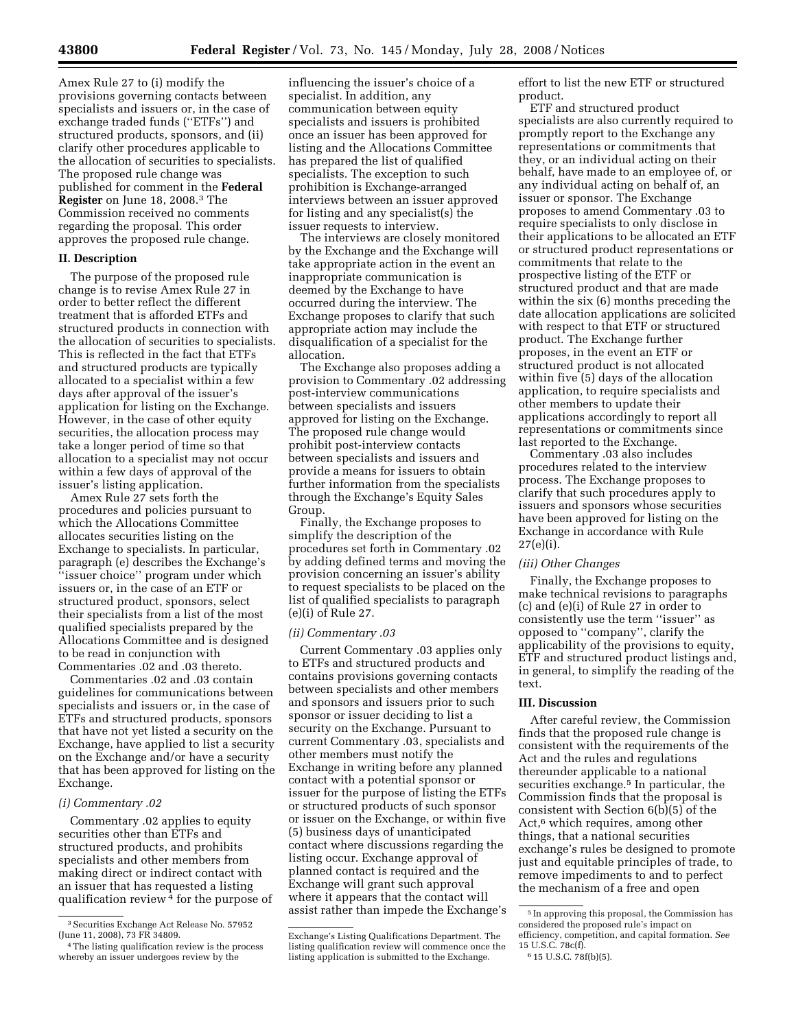Amex Rule 27 to (i) modify the provisions governing contacts between specialists and issuers or, in the case of exchange traded funds (''ETFs'') and structured products, sponsors, and (ii) clarify other procedures applicable to the allocation of securities to specialists. The proposed rule change was published for comment in the **Federal Register** on June 18, 2008.3 The Commission received no comments regarding the proposal. This order approves the proposed rule change.

## **II. Description**

The purpose of the proposed rule change is to revise Amex Rule 27 in order to better reflect the different treatment that is afforded ETFs and structured products in connection with the allocation of securities to specialists. This is reflected in the fact that ETFs and structured products are typically allocated to a specialist within a few days after approval of the issuer's application for listing on the Exchange. However, in the case of other equity securities, the allocation process may take a longer period of time so that allocation to a specialist may not occur within a few days of approval of the issuer's listing application.

Amex Rule 27 sets forth the procedures and policies pursuant to which the Allocations Committee allocates securities listing on the Exchange to specialists. In particular, paragraph (e) describes the Exchange's ''issuer choice'' program under which issuers or, in the case of an ETF or structured product, sponsors, select their specialists from a list of the most qualified specialists prepared by the Allocations Committee and is designed to be read in conjunction with Commentaries .02 and .03 thereto.

Commentaries .02 and .03 contain guidelines for communications between specialists and issuers or, in the case of ETFs and structured products, sponsors that have not yet listed a security on the Exchange, have applied to list a security on the Exchange and/or have a security that has been approved for listing on the Exchange.

## *(i) Commentary .02*

Commentary .02 applies to equity securities other than ETFs and structured products, and prohibits specialists and other members from making direct or indirect contact with an issuer that has requested a listing qualification review  $4$  for the purpose of

influencing the issuer's choice of a specialist. In addition, any communication between equity specialists and issuers is prohibited once an issuer has been approved for listing and the Allocations Committee has prepared the list of qualified specialists. The exception to such prohibition is Exchange-arranged interviews between an issuer approved for listing and any specialist(s) the issuer requests to interview.

The interviews are closely monitored by the Exchange and the Exchange will take appropriate action in the event an inappropriate communication is deemed by the Exchange to have occurred during the interview. The Exchange proposes to clarify that such appropriate action may include the disqualification of a specialist for the allocation.

The Exchange also proposes adding a provision to Commentary .02 addressing post-interview communications between specialists and issuers approved for listing on the Exchange. The proposed rule change would prohibit post-interview contacts between specialists and issuers and provide a means for issuers to obtain further information from the specialists through the Exchange's Equity Sales Group.

Finally, the Exchange proposes to simplify the description of the procedures set forth in Commentary .02 by adding defined terms and moving the provision concerning an issuer's ability to request specialists to be placed on the list of qualified specialists to paragraph (e)(i) of Rule 27.

### *(ii) Commentary .03*

Current Commentary .03 applies only to ETFs and structured products and contains provisions governing contacts between specialists and other members and sponsors and issuers prior to such sponsor or issuer deciding to list a security on the Exchange. Pursuant to current Commentary .03, specialists and other members must notify the Exchange in writing before any planned contact with a potential sponsor or issuer for the purpose of listing the ETFs or structured products of such sponsor or issuer on the Exchange, or within five (5) business days of unanticipated contact where discussions regarding the listing occur. Exchange approval of planned contact is required and the Exchange will grant such approval where it appears that the contact will assist rather than impede the Exchange's effort to list the new ETF or structured product.

ETF and structured product specialists are also currently required to promptly report to the Exchange any representations or commitments that they, or an individual acting on their behalf, have made to an employee of, or any individual acting on behalf of, an issuer or sponsor. The Exchange proposes to amend Commentary .03 to require specialists to only disclose in their applications to be allocated an ETF or structured product representations or commitments that relate to the prospective listing of the ETF or structured product and that are made within the six (6) months preceding the date allocation applications are solicited with respect to that ETF or structured product. The Exchange further proposes, in the event an ETF or structured product is not allocated within five (5) days of the allocation application, to require specialists and other members to update their applications accordingly to report all representations or commitments since last reported to the Exchange.

Commentary .03 also includes procedures related to the interview process. The Exchange proposes to clarify that such procedures apply to issuers and sponsors whose securities have been approved for listing on the Exchange in accordance with Rule 27(e)(i).

### *(iii) Other Changes*

Finally, the Exchange proposes to make technical revisions to paragraphs (c) and (e)(i) of Rule 27 in order to consistently use the term ''issuer'' as opposed to ''company'', clarify the applicability of the provisions to equity, ETF and structured product listings and, in general, to simplify the reading of the text.

#### **III. Discussion**

After careful review, the Commission finds that the proposed rule change is consistent with the requirements of the Act and the rules and regulations thereunder applicable to a national securities exchange.<sup>5</sup> In particular, the Commission finds that the proposal is consistent with Section 6(b)(5) of the Act,<sup>6</sup> which requires, among other things, that a national securities exchange's rules be designed to promote just and equitable principles of trade, to remove impediments to and to perfect the mechanism of a free and open

<sup>3</sup>Securities Exchange Act Release No. 57952 (June 11, 2008), 73 FR 34809.

<sup>&</sup>lt;sup>4</sup>The listing qualification review is the process whereby an issuer undergoes review by the

Exchange's Listing Qualifications Department. The listing qualification review will commence once the listing application is submitted to the Exchange.

<sup>5</sup> In approving this proposal, the Commission has considered the proposed rule's impact on efficiency, competition, and capital formation. *See*  15 U.S.C. 78c(f).

<sup>6</sup> 15 U.S.C. 78f(b)(5).